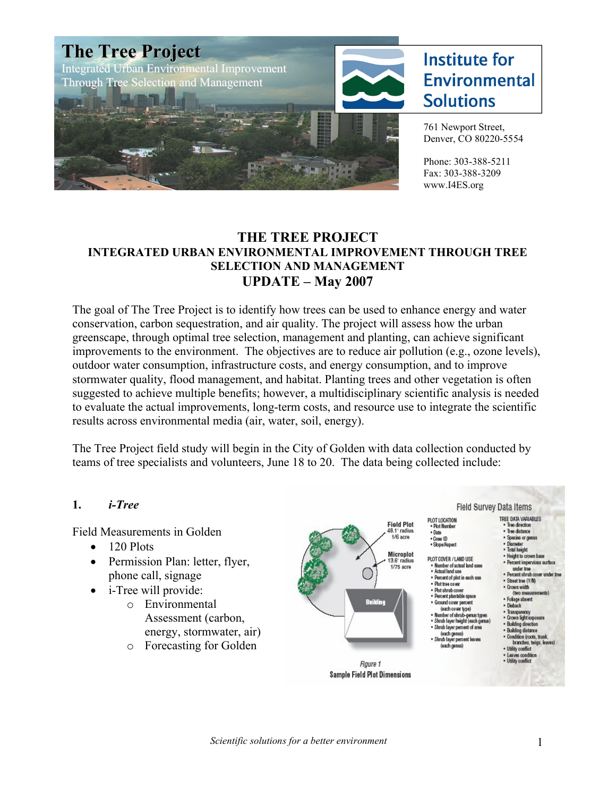

#### **THE TREE PROJECT INTEGRATED URBAN ENVIRONMENTAL IMPROVEMENT THROUGH TREE SELECTION AND MANAGEMENT UPDATE – May 2007**

The goal of The Tree Project is to identify how trees can be used to enhance energy and water conservation, carbon sequestration, and air quality. The project will assess how the urban greenscape, through optimal tree selection, management and planting, can achieve significant improvements to the environment. The objectives are to reduce air pollution (e.g., ozone levels), outdoor water consumption, infrastructure costs, and energy consumption, and to improve stormwater quality, flood management, and habitat. Planting trees and other vegetation is often suggested to achieve multiple benefits; however, a multidisciplinary scientific analysis is needed to evaluate the actual improvements, long-term costs, and resource use to integrate the scientific results across environmental media (air, water, soil, energy).

The Tree Project field study will begin in the City of Golden with data collection conducted by teams of tree specialists and volunteers, June 18 to 20. The data being collected include:

#### **1.** *i-Tree*

Field Measurements in Golden

- $\bullet$  120 Plots
- Permission Plan: letter, flyer, phone call, signage
- i-Tree will provide:
	- o Environmental Assessment (carbon, energy, stormwater, air)
	- o Forecasting for Golden

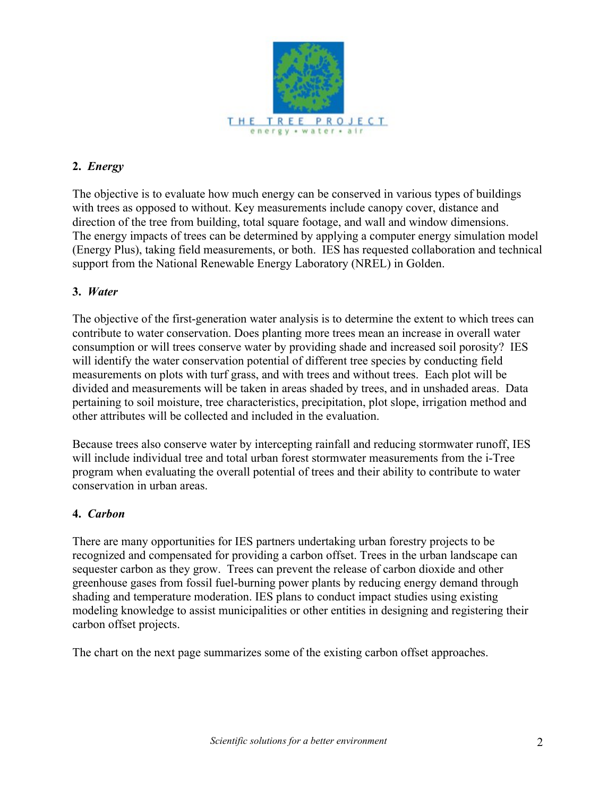

# **2.** *Energy*

The objective is to evaluate how much energy can be conserved in various types of buildings with trees as opposed to without. Key measurements include canopy cover, distance and direction of the tree from building, total square footage, and wall and window dimensions. The energy impacts of trees can be determined by applying a computer energy simulation model (Energy Plus), taking field measurements, or both. IES has requested collaboration and technical support from the National Renewable Energy Laboratory (NREL) in Golden.

#### **3.** *Water*

The objective of the first-generation water analysis is to determine the extent to which trees can contribute to water conservation. Does planting more trees mean an increase in overall water consumption or will trees conserve water by providing shade and increased soil porosity? IES will identify the water conservation potential of different tree species by conducting field measurements on plots with turf grass, and with trees and without trees. Each plot will be divided and measurements will be taken in areas shaded by trees, and in unshaded areas. Data pertaining to soil moisture, tree characteristics, precipitation, plot slope, irrigation method and other attributes will be collected and included in the evaluation.

Because trees also conserve water by intercepting rainfall and reducing stormwater runoff, IES will include individual tree and total urban forest stormwater measurements from the i-Tree program when evaluating the overall potential of trees and their ability to contribute to water conservation in urban areas.

#### **4.** *Carbon*

There are many opportunities for IES partners undertaking urban forestry projects to be recognized and compensated for providing a carbon offset. Trees in the urban landscape can sequester carbon as they grow. Trees can prevent the release of carbon dioxide and other greenhouse gases from fossil fuel-burning power plants by reducing energy demand through shading and temperature moderation. IES plans to conduct impact studies using existing modeling knowledge to assist municipalities or other entities in designing and registering their carbon offset projects.

The chart on the next page summarizes some of the existing carbon offset approaches.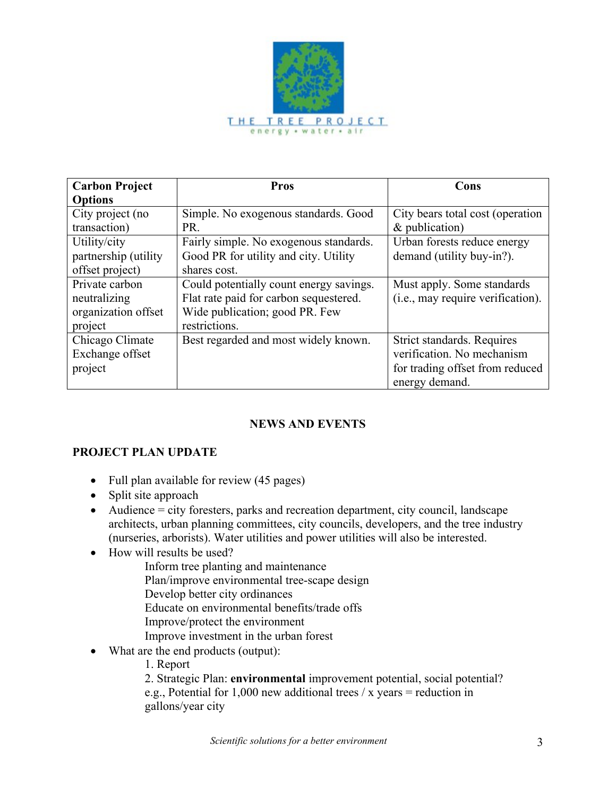

| <b>Carbon Project</b> | <b>Pros</b>                             | Cons                                              |
|-----------------------|-----------------------------------------|---------------------------------------------------|
| <b>Options</b>        |                                         |                                                   |
| City project (no      | Simple. No exogenous standards. Good    | City bears total cost (operation                  |
| transaction)          | PR.                                     | &sublication)                                     |
| Utility/city          | Fairly simple. No exogenous standards.  | Urban forests reduce energy                       |
| partnership (utility  | Good PR for utility and city. Utility   | demand (utility buy-in?).                         |
| offset project)       | shares cost.                            |                                                   |
| Private carbon        | Could potentially count energy savings. | Must apply. Some standards                        |
| neutralizing          | Flat rate paid for carbon sequestered.  | (i.e., may require verification).                 |
| organization offset   | Wide publication; good PR. Few          |                                                   |
| project               | restrictions.                           |                                                   |
| Chicago Climate       | Best regarded and most widely known.    | Strict standards. Requires                        |
| Exchange offset       |                                         | verification. No mechanism                        |
| project               |                                         | for trading offset from reduced<br>energy demand. |

# **NEWS AND EVENTS**

# **PROJECT PLAN UPDATE**

- Full plan available for review (45 pages)
- Split site approach
- $\bullet$  Audience = city foresters, parks and recreation department, city council, landscape architects, urban planning committees, city councils, developers, and the tree industry (nurseries, arborists). Water utilities and power utilities will also be interested.
- How will results be used?
	- Inform tree planting and maintenance
	- Plan/improve environmental tree-scape design
	- Develop better city ordinances
	- Educate on environmental benefits/trade offs
	- Improve/protect the environment
	- Improve investment in the urban forest
- What are the end products (output):
	- 1. Report

2. Strategic Plan: **environmental** improvement potential, social potential? e.g., Potential for 1,000 new additional trees  $/x$  years = reduction in gallons/year city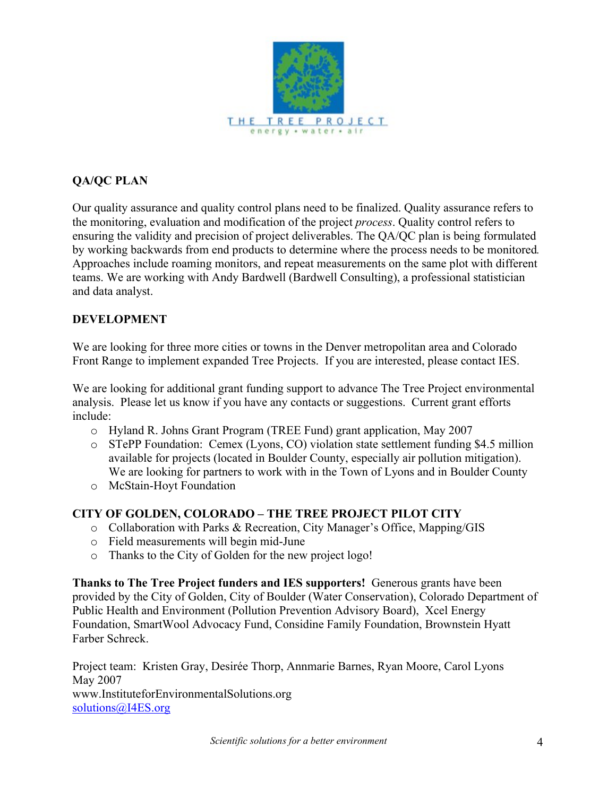

# **QA/QC PLAN**

Our quality assurance and quality control plans need to be finalized. Quality assurance refers to the monitoring, evaluation and modification of the project *process*. Quality control refers to ensuring the validity and precision of project deliverables. The QA/QC plan is being formulated by working backwards from end products to determine where the process needs to be monitored*.*  Approaches include roaming monitors, and repeat measurements on the same plot with different teams. We are working with Andy Bardwell (Bardwell Consulting), a professional statistician and data analyst.

#### **DEVELOPMENT**

We are looking for three more cities or towns in the Denver metropolitan area and Colorado Front Range to implement expanded Tree Projects. If you are interested, please contact IES.

We are looking for additional grant funding support to advance The Tree Project environmental analysis. Please let us know if you have any contacts or suggestions. Current grant efforts include:

- o Hyland R. Johns Grant Program (TREE Fund) grant application, May 2007
- o STePP Foundation: Cemex (Lyons, CO) violation state settlement funding \$4.5 million available for projects (located in Boulder County, especially air pollution mitigation). We are looking for partners to work with in the Town of Lyons and in Boulder County
- o McStain-Hoyt Foundation

# **CITY OF GOLDEN, COLORADO – THE TREE PROJECT PILOT CITY**

- o Collaboration with Parks & Recreation, City Manager's Office, Mapping/GIS
- o Field measurements will begin mid-June
- o Thanks to the City of Golden for the new project logo!

**Thanks to The Tree Project funders and IES supporters!** Generous grants have been provided by the City of Golden, City of Boulder (Water Conservation), Colorado Department of Public Health and Environment (Pollution Prevention Advisory Board), Xcel Energy Foundation, SmartWool Advocacy Fund, Considine Family Foundation, Brownstein Hyatt Farber Schreck.

Project team: Kristen Gray, Desirée Thorp, Annmarie Barnes, Ryan Moore, Carol Lyons May 2007 www.InstituteforEnvironmentalSolutions.org solutions@I4ES.org